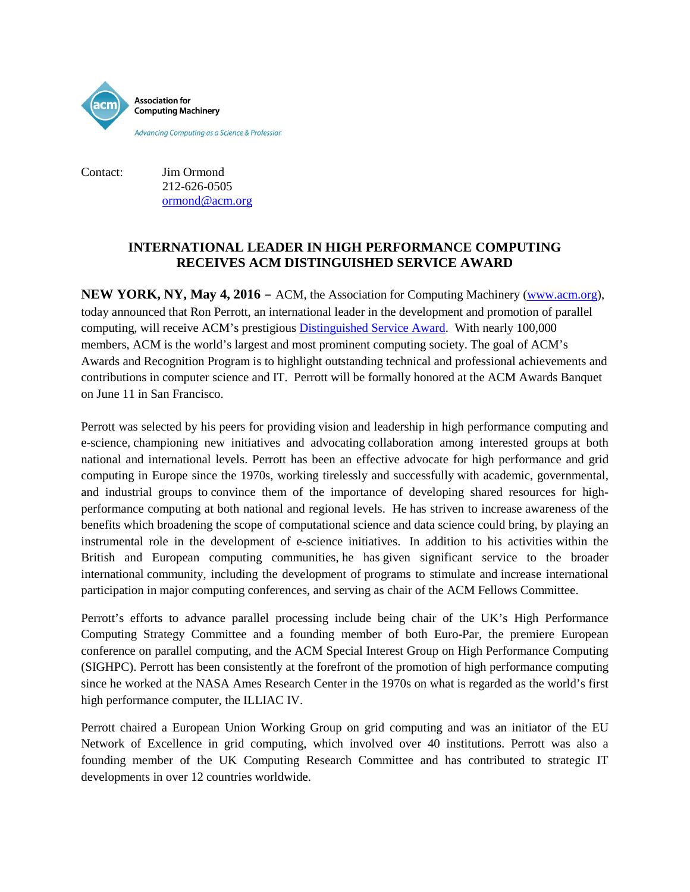

Contact: Jim Ormond 212-626-0505 ormond@acm.org

## **INTERNATIONAL LEADER IN HIGH PERFORMANCE COMPUTING RECEIVES ACM DISTINGUISHED SERVICE AWARD**

**NEW YORK, NY, May 4, 2016** – ACM, the Association for Computing Machinery [\(www.acm.org\)](http://www.acm.org/), today announced that Ron Perrott, an international leader in the development and promotion of parallel computing, will receive ACM's prestigiou[s Distinguished Service Award.](http://www.acm.org/awards/2015-distinguished-service) With nearly 100,000 members, ACM is the world's largest and most prominent computing society. The goal of ACM's Awards and Recognition Program is to highlight outstanding technical and professional achievements and contributions in computer science and IT. Perrott will be formally honored at the ACM Awards Banquet on June 11 in San Francisco.

Perrott was selected by his peers for providing vision and leadership in high performance computing and e-science, championing new initiatives and advocating collaboration among interested groups at both national and international levels. Perrott has been an effective advocate for high performance and grid computing in Europe since the 1970s, working tirelessly and successfully with academic, governmental, and industrial groups to convince them of the importance of developing shared resources for highperformance computing at both national and regional levels. He has striven to increase awareness of the benefits which broadening the scope of computational science and data science could bring, by playing an instrumental role in the development of e-science initiatives. In addition to his activities within the British and European computing communities, he has given significant service to the broader international community, including the development of programs to stimulate and increase international participation in major computing conferences, and serving as chair of the ACM Fellows Committee.

Perrott's efforts to advance parallel processing include being chair of the UK's High Performance Computing Strategy Committee and a founding member of both Euro-Par, the premiere European conference on parallel computing, and the ACM Special Interest Group on High Performance Computing (SIGHPC). Perrott has been consistently at the forefront of the promotion of high performance computing since he worked at the NASA Ames Research Center in the 1970s on what is regarded as the world's first high performance computer, the ILLIAC IV.

Perrott chaired a European Union Working Group on grid computing and was an initiator of the EU Network of Excellence in grid computing, which involved over 40 institutions. Perrott was also a founding member of the UK Computing Research Committee and has contributed to strategic IT developments in over 12 countries worldwide.